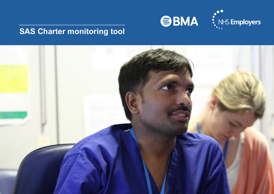

# **SAS Charter monitoring tool**

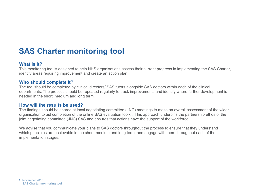## **SAS Charter monitoring tool**

### **What is it?**

This monitoring tool is designed to help NHS organisations assess their current progress in implementing the SAS Charter, identify areas requiring improvement and create an action plan

#### **Who should complete it?**

The tool should be completed by clinical directors/ SAS tutors alongside SAS doctors within each of the clinical departments. The process should be repeated regularly to track improvements and identify where further development is needed in the short, medium and long term.

### **How will the results be used?**

The findings should be shared at local negotiating committee (LNC) meetings to make an overall assessment of the wider organisation to aid completion of the online SAS evaluation toolkit. This approach underpins the partnership ethos of the joint negotiating committee (JNC) SAS and ensures that actions have the support of the workforce.

We advise that you communicate your plans to SAS doctors throughout the process to ensure that they understand which principles are achievable in the short, medium and long term, and engage with them throughout each of the implementation stages.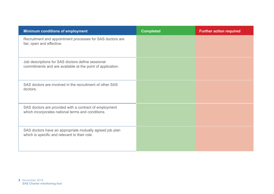| <b>Minimum conditions of employment</b>                                                                         | <b>Completed</b> | <b>Further action required</b> |
|-----------------------------------------------------------------------------------------------------------------|------------------|--------------------------------|
| Recruitment and appointment processes for SAS doctors are<br>fair, open and effective.                          |                  |                                |
| Job descriptions for SAS doctors define sessional<br>commitments and are available at the point of application. |                  |                                |
| SAS doctors are involved in the recruitment of other SAS<br>doctors.                                            |                  |                                |
| SAS doctors are provided with a contract of employment<br>which incorporates national terms and conditions.     |                  |                                |
| SAS doctors have an appropriate mutually agreed job plan<br>which is specific and relevant to their role.       |                  |                                |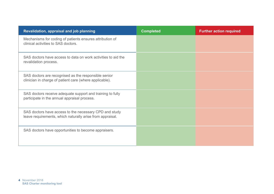| Revalidation, appraisal and job planning                                                                            | <b>Completed</b> | <b>Further action required</b> |
|---------------------------------------------------------------------------------------------------------------------|------------------|--------------------------------|
| Mechanisms for coding of patients ensures attribution of<br>clinical activities to SAS doctors.                     |                  |                                |
| SAS doctors have access to data on work activities to aid the<br>revalidation process.                              |                  |                                |
| SAS doctors are recognised as the responsible senior<br>clinician in charge of patient care (where applicable).     |                  |                                |
| SAS doctors receive adequate support and training to fully<br>participate in the annual appraisal process.          |                  |                                |
| SAS doctors have access to the necessary CPD and study<br>leave requirements, which naturally arise from appraisal. |                  |                                |
| SAS doctors have opportunities to become appraisers.                                                                |                  |                                |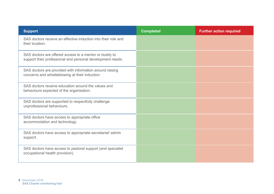| <b>Support</b>                                                                                                       | <b>Completed</b> | <b>Further action required</b> |
|----------------------------------------------------------------------------------------------------------------------|------------------|--------------------------------|
| SAS doctors receive an effective induction into their role and<br>their location.                                    |                  |                                |
| SAS doctors are offered access to a mentor or buddy to<br>support their professional and personal development needs. |                  |                                |
| SAS doctors are provided with information around raising<br>concerns and whistleblowing at their induction.          |                  |                                |
| SAS doctors receive education around the values and<br>behaviours expected of the organisation.                      |                  |                                |
| SAS doctors are supported to respectfully challenge<br>unprofessional behaviours.                                    |                  |                                |
| SAS doctors have access to appropriate office<br>accommodation and technology.                                       |                  |                                |
| SAS doctors have access to appropriate secretarial/admin<br>support.                                                 |                  |                                |
| SAS doctors have access to pastoral support (and specialist<br>occupational health provision).                       |                  |                                |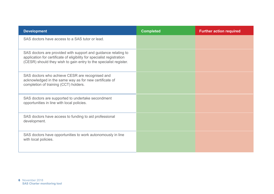| <b>Development</b>                                                                                                                                                                                            | <b>Completed</b> | <b>Further action required</b> |
|---------------------------------------------------------------------------------------------------------------------------------------------------------------------------------------------------------------|------------------|--------------------------------|
| SAS doctors have access to a SAS tutor or lead.                                                                                                                                                               |                  |                                |
| SAS doctors are provided with support and guidance relating to<br>application for certificate of eligibility for specialist registration<br>(CESR) should they wish to gain entry to the specialist register. |                  |                                |
| SAS doctors who achieve CESR are recognised and<br>acknowledged in the same way as for new certificate of<br>completion of training (CCT) holders.                                                            |                  |                                |
| SAS doctors are supported to undertake secondment<br>opportunities in line with local policies.                                                                                                               |                  |                                |
| SAS doctors have access to funding to aid professional<br>development.                                                                                                                                        |                  |                                |
| SAS doctors have opportunities to work autonomously in line<br>with local policies.                                                                                                                           |                  |                                |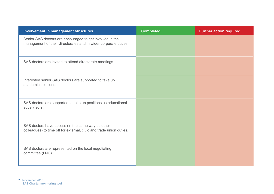| <b>Involvement in management structures</b>                                                                                 | <b>Completed</b> | <b>Further action required</b> |
|-----------------------------------------------------------------------------------------------------------------------------|------------------|--------------------------------|
| Senior SAS doctors are encouraged to get involved in the<br>management of their directorates and in wider corporate duties. |                  |                                |
| SAS doctors are invited to attend directorate meetings.                                                                     |                  |                                |
| Interested senior SAS doctors are supported to take up<br>academic positions.                                               |                  |                                |
| SAS doctors are supported to take up positions as educational<br>supervisors.                                               |                  |                                |
| SAS doctors have access (in the same way as other<br>colleagues) to time off for external, civic and trade union duties.    |                  |                                |
| SAS doctors are represented on the local negotiating<br>committee (LNC).                                                    |                  |                                |